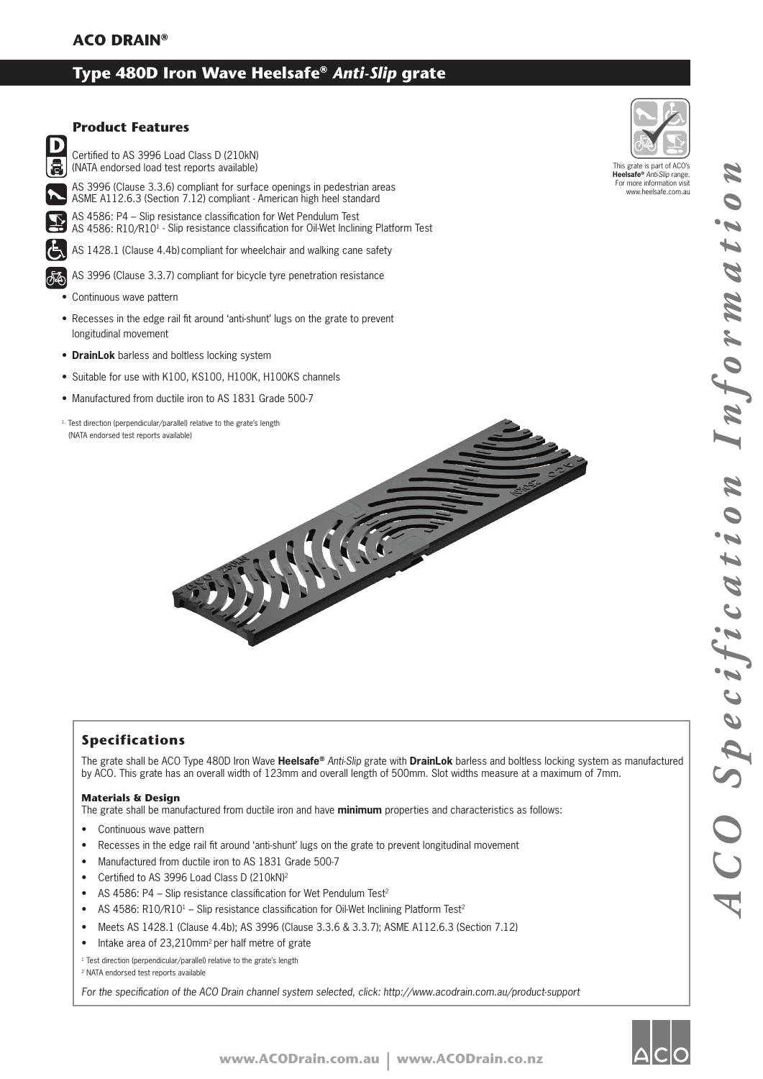# **Type 480D Iron Wave Heelsafe®** *Anti-Slip* **grate**



## **Product Features**

Certified to AS 3996 Load Class D (210kN) (NATA endorsed load test reports available)

AS 3996 (Clause 3.3.6) compliant for surface openings in pedestrian areas ASME A112.6.3 (Section 7.12) compliant - American high heel standard

AS 4586: P4 – Slip resistance classification for Wet Pendulum Test AS 4586: R10/R10<sup>1</sup> - Slip resistance classification for Oil-Wet Inclining Platform Test

AS 1428.1 (Clause 4.4b) compliant for wheelchair and walking cane safety

AS 3996 (Clause 3.3.7) compliant for bicycle tyre penetration resistance

- Continuous wave pattern
- Recesses in the edge rail fit around 'anti-shunt' lugs on the grate to prevent longitudinal movement
- **DrainLok** barless and boltless locking system
- Suitable for use with K100, KS100, H100K, H100KS channels
- Manufactured from ductile iron to AS 1831 Grade 500-7
- <sup>1.</sup> Test direction (perpendicular/parallel) relative to the grate's length (NATA endorsed test reports available)



## **Specifications**

The grate shall be ACO Type 480D Iron Wave **Heelsafe®** *Anti-Slip* grate with **DrainLok** barless and boltless locking system as manufactured by ACO. This grate has an overall width of 123mm and overall length of 500mm. Slot widths measure at a maximum of 7mm.

#### **Materials & Design**

The grate shall be manufactured from ductile iron and have **minimum** properties and characteristics as follows:

- Continuous wave pattern
- Recesses in the edge rail fit around 'anti-shunt' lugs on the grate to prevent longitudinal movement
- Manufactured from ductile iron to AS 1831 Grade 500-7
- Certified to AS 3996 Load Class D (210kN)<sup>2</sup>
- AS 4586: P4 Slip resistance classification for Wet Pendulum Test<sup>2</sup>
- AS 4586: R10/R10<sup>1</sup> Slip resistance classification for Oil-Wet Inclining Platform Test<sup>2</sup>
- Meets AS 1428.1 (Clause 4.4b); AS 3996 (Clause 3.3.6 & 3.3.7); ASME A112.6.3 (Section 7.12)
- Intake area of 23,210mm<sup>2</sup> per half metre of grate

<sup>1</sup> Test direction (perpendicular/parallel) relative to the grate's length

#### 2 NATA endorsed test reports available

For the specification of the ACO Drain channel system selected, click: http://www.acodrain.com.au/product-support



This grate is part of ACO's **Heelsafe®** *Anti-Slip* range. For more information visit www.heelsafe.com.au